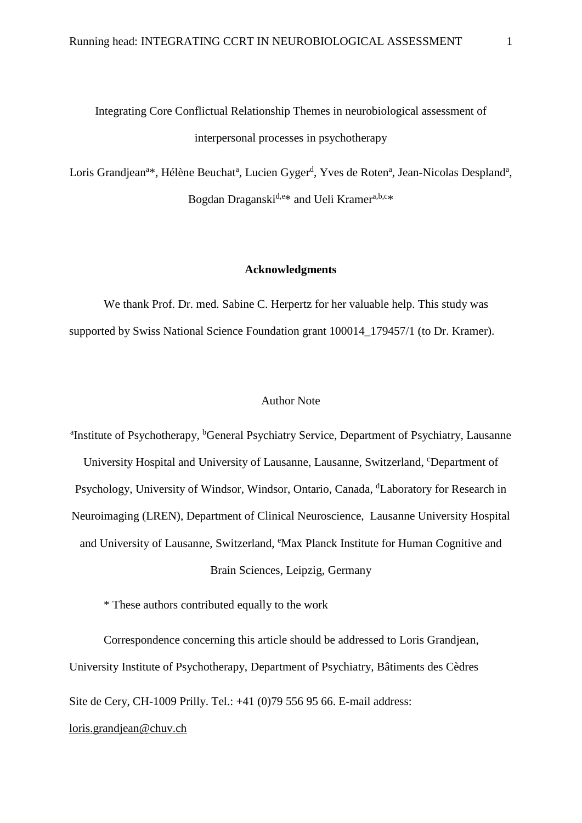Integrating Core Conflictual Relationship Themes in neurobiological assessment of interpersonal processes in psychotherapy

Loris Grandjean<sup>a\*</sup>, Hélène Beuchat<sup>a</sup>, Lucien Gyger<sup>d</sup>, Yves de Roten<sup>a</sup>, Jean-Nicolas Despland<sup>a</sup>, Bogdan Draganski<sup>d,e\*</sup> and Ueli Kramer<sup>a,b,c\*</sup>

#### **Acknowledgments**

We thank Prof. Dr. med. Sabine C. Herpertz for her valuable help. This study was supported by Swiss National Science Foundation grant 100014 179457/1 (to Dr. Kramer).

# Author Note

<sup>a</sup>Institute of Psychotherapy, <sup>b</sup>General Psychiatry Service, Department of Psychiatry, Lausanne University Hospital and University of Lausanne, Lausanne, Switzerland, <sup>c</sup>Department of Psychology, University of Windsor, Windsor, Ontario, Canada, <sup>d</sup>Laboratory for Research in Neuroimaging (LREN), Department of Clinical Neuroscience, Lausanne University Hospital and University of Lausanne, Switzerland, <sup>e</sup>Max Planck Institute for Human Cognitive and Brain Sciences, Leipzig, Germany

\* These authors contributed equally to the work

Correspondence concerning this article should be addressed to Loris Grandjean, University Institute of Psychotherapy, Department of Psychiatry, Bâtiments des Cèdres Site de Cery, CH-1009 Prilly. Tel.: +41 (0)79 556 95 66. E-mail address: [loris.grandjean@chuv.ch](mailto:loris.grandjean@chuv.ch)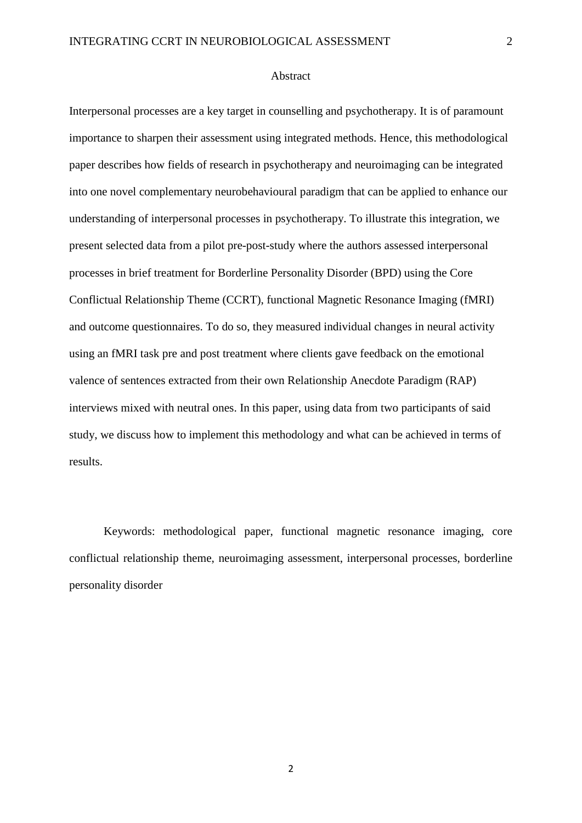#### Abstract

Interpersonal processes are a key target in counselling and psychotherapy. It is of paramount importance to sharpen their assessment using integrated methods. Hence, this methodological paper describes how fields of research in psychotherapy and neuroimaging can be integrated into one novel complementary neurobehavioural paradigm that can be applied to enhance our understanding of interpersonal processes in psychotherapy. To illustrate this integration, we present selected data from a pilot pre-post-study where the authors assessed interpersonal processes in brief treatment for Borderline Personality Disorder (BPD) using the Core Conflictual Relationship Theme (CCRT), functional Magnetic Resonance Imaging (fMRI) and outcome questionnaires. To do so, they measured individual changes in neural activity using an fMRI task pre and post treatment where clients gave feedback on the emotional valence of sentences extracted from their own Relationship Anecdote Paradigm (RAP) interviews mixed with neutral ones. In this paper, using data from two participants of said study, we discuss how to implement this methodology and what can be achieved in terms of results.

Keywords: methodological paper, functional magnetic resonance imaging, core conflictual relationship theme, neuroimaging assessment, interpersonal processes, borderline personality disorder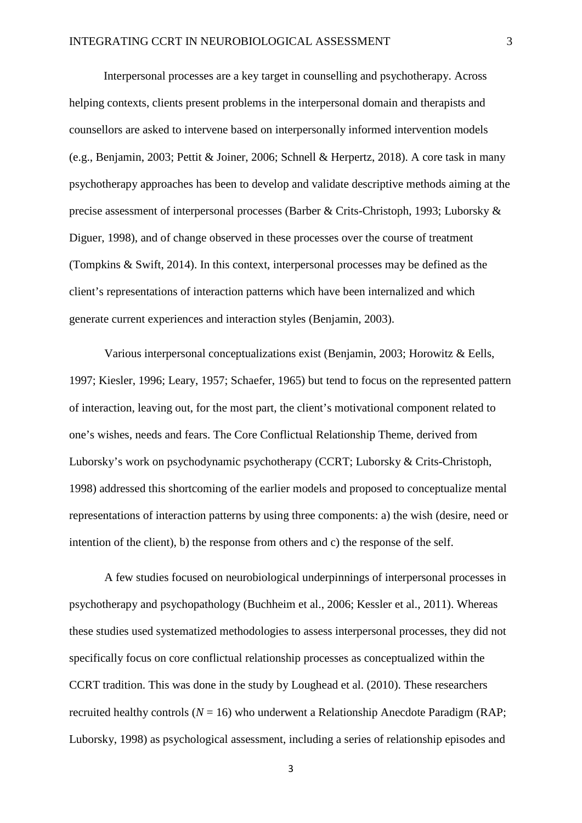Interpersonal processes are a key target in counselling and psychotherapy. Across helping contexts, clients present problems in the interpersonal domain and therapists and counsellors are asked to intervene based on interpersonally informed intervention models (e.g., Benjamin, 2003; Pettit & Joiner, 2006; Schnell & Herpertz, 2018). A core task in many psychotherapy approaches has been to develop and validate descriptive methods aiming at the precise assessment of interpersonal processes (Barber & Crits-Christoph, 1993; Luborsky & Diguer, 1998), and of change observed in these processes over the course of treatment (Tompkins & Swift, 2014). In this context, interpersonal processes may be defined as the client's representations of interaction patterns which have been internalized and which generate current experiences and interaction styles (Benjamin, 2003).

Various interpersonal conceptualizations exist (Benjamin, 2003; Horowitz & Eells, 1997; Kiesler, 1996; Leary, 1957; Schaefer, 1965) but tend to focus on the represented pattern of interaction, leaving out, for the most part, the client's motivational component related to one's wishes, needs and fears. The Core Conflictual Relationship Theme, derived from Luborsky's work on psychodynamic psychotherapy (CCRT; Luborsky & Crits-Christoph, 1998) addressed this shortcoming of the earlier models and proposed to conceptualize mental representations of interaction patterns by using three components: a) the wish (desire, need or intention of the client), b) the response from others and c) the response of the self.

A few studies focused on neurobiological underpinnings of interpersonal processes in psychotherapy and psychopathology (Buchheim et al., 2006; Kessler et al., 2011). Whereas these studies used systematized methodologies to assess interpersonal processes, they did not specifically focus on core conflictual relationship processes as conceptualized within the CCRT tradition. This was done in the study by Loughead et al. (2010). These researchers recruited healthy controls  $(N = 16)$  who underwent a Relationship Anecdote Paradigm (RAP; Luborsky, 1998) as psychological assessment, including a series of relationship episodes and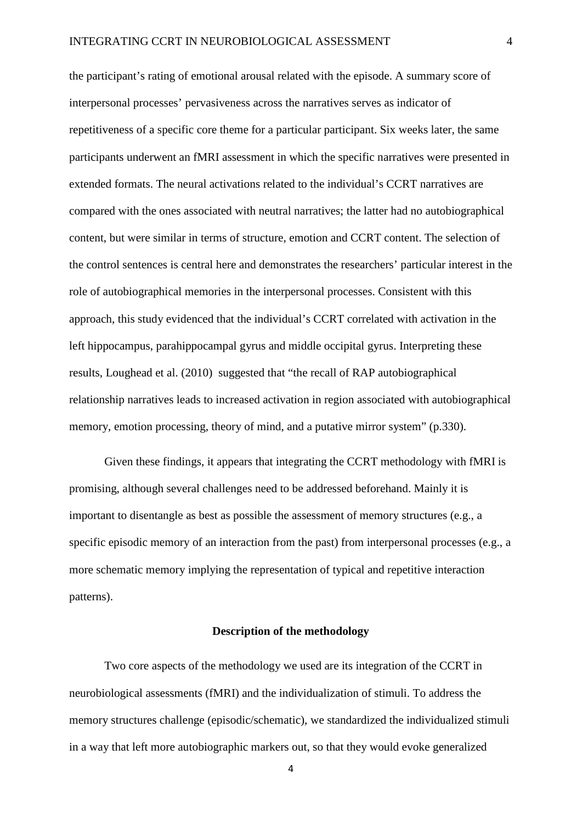the participant's rating of emotional arousal related with the episode. A summary score of interpersonal processes' pervasiveness across the narratives serves as indicator of repetitiveness of a specific core theme for a particular participant. Six weeks later, the same participants underwent an fMRI assessment in which the specific narratives were presented in extended formats. The neural activations related to the individual's CCRT narratives are compared with the ones associated with neutral narratives; the latter had no autobiographical content, but were similar in terms of structure, emotion and CCRT content. The selection of the control sentences is central here and demonstrates the researchers' particular interest in the role of autobiographical memories in the interpersonal processes. Consistent with this approach, this study evidenced that the individual's CCRT correlated with activation in the left hippocampus, parahippocampal gyrus and middle occipital gyrus. Interpreting these results, Loughead et al. (2010) suggested that "the recall of RAP autobiographical relationship narratives leads to increased activation in region associated with autobiographical memory, emotion processing, theory of mind, and a putative mirror system" (p.330).

Given these findings, it appears that integrating the CCRT methodology with fMRI is promising, although several challenges need to be addressed beforehand. Mainly it is important to disentangle as best as possible the assessment of memory structures (e.g., a specific episodic memory of an interaction from the past) from interpersonal processes (e.g., a more schematic memory implying the representation of typical and repetitive interaction patterns).

#### **Description of the methodology**

Two core aspects of the methodology we used are its integration of the CCRT in neurobiological assessments (fMRI) and the individualization of stimuli. To address the memory structures challenge (episodic/schematic), we standardized the individualized stimuli in a way that left more autobiographic markers out, so that they would evoke generalized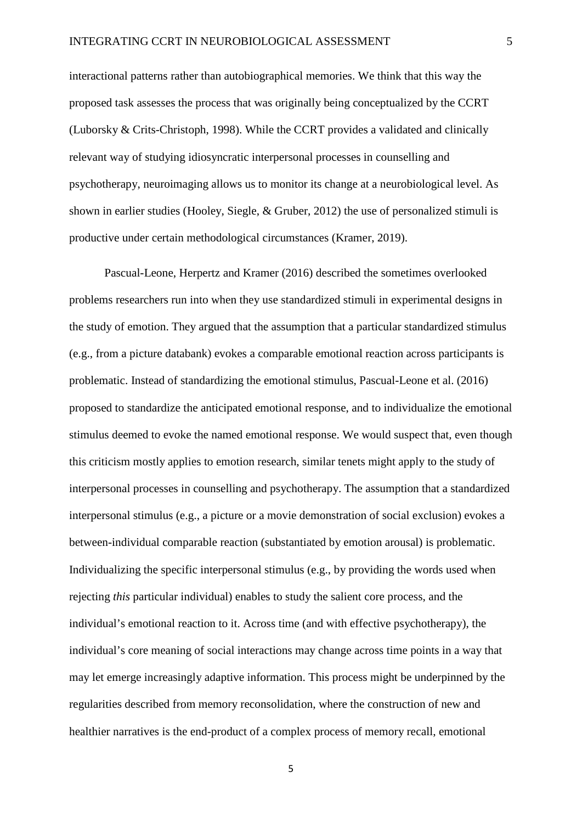interactional patterns rather than autobiographical memories. We think that this way the proposed task assesses the process that was originally being conceptualized by the CCRT (Luborsky & Crits-Christoph, 1998). While the CCRT provides a validated and clinically relevant way of studying idiosyncratic interpersonal processes in counselling and psychotherapy, neuroimaging allows us to monitor its change at a neurobiological level. As shown in earlier studies (Hooley, Siegle, & Gruber, 2012) the use of personalized stimuli is productive under certain methodological circumstances (Kramer, 2019).

Pascual-Leone, Herpertz and Kramer (2016) described the sometimes overlooked problems researchers run into when they use standardized stimuli in experimental designs in the study of emotion. They argued that the assumption that a particular standardized stimulus (e.g., from a picture databank) evokes a comparable emotional reaction across participants is problematic. Instead of standardizing the emotional stimulus, Pascual-Leone et al. (2016) proposed to standardize the anticipated emotional response, and to individualize the emotional stimulus deemed to evoke the named emotional response. We would suspect that, even though this criticism mostly applies to emotion research, similar tenets might apply to the study of interpersonal processes in counselling and psychotherapy. The assumption that a standardized interpersonal stimulus (e.g., a picture or a movie demonstration of social exclusion) evokes a between-individual comparable reaction (substantiated by emotion arousal) is problematic. Individualizing the specific interpersonal stimulus (e.g., by providing the words used when rejecting *this* particular individual) enables to study the salient core process, and the individual's emotional reaction to it. Across time (and with effective psychotherapy), the individual's core meaning of social interactions may change across time points in a way that may let emerge increasingly adaptive information. This process might be underpinned by the regularities described from memory reconsolidation, where the construction of new and healthier narratives is the end-product of a complex process of memory recall, emotional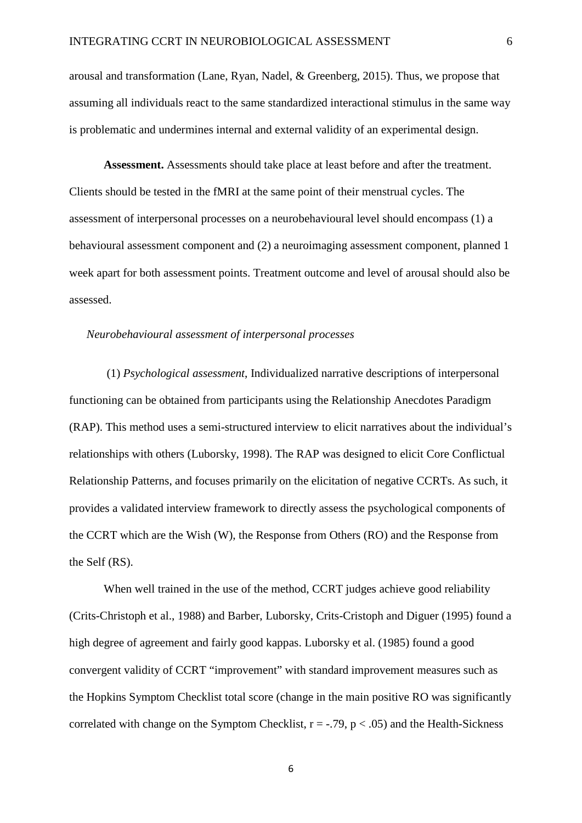arousal and transformation (Lane, Ryan, Nadel, & Greenberg, 2015). Thus, we propose that assuming all individuals react to the same standardized interactional stimulus in the same way is problematic and undermines internal and external validity of an experimental design.

**Assessment.** Assessments should take place at least before and after the treatment. Clients should be tested in the fMRI at the same point of their menstrual cycles. The assessment of interpersonal processes on a neurobehavioural level should encompass (1) a behavioural assessment component and (2) a neuroimaging assessment component, planned 1 week apart for both assessment points. Treatment outcome and level of arousal should also be assessed.

#### *Neurobehavioural assessment of interpersonal processes*

(1) *Psychological assessment*, Individualized narrative descriptions of interpersonal functioning can be obtained from participants using the Relationship Anecdotes Paradigm (RAP). This method uses a semi-structured interview to elicit narratives about the individual's relationships with others (Luborsky, 1998). The RAP was designed to elicit Core Conflictual Relationship Patterns, and focuses primarily on the elicitation of negative CCRTs. As such, it provides a validated interview framework to directly assess the psychological components of the CCRT which are the Wish (W), the Response from Others (RO) and the Response from the Self (RS).

When well trained in the use of the method, CCRT judges achieve good reliability (Crits-Christoph et al., 1988) and Barber, Luborsky, Crits-Cristoph and Diguer (1995) found a high degree of agreement and fairly good kappas. Luborsky et al. (1985) found a good convergent validity of CCRT "improvement" with standard improvement measures such as the Hopkins Symptom Checklist total score (change in the main positive RO was significantly correlated with change on the Symptom Checklist,  $r = -0.79$ ,  $p < 0.05$ ) and the Health-Sickness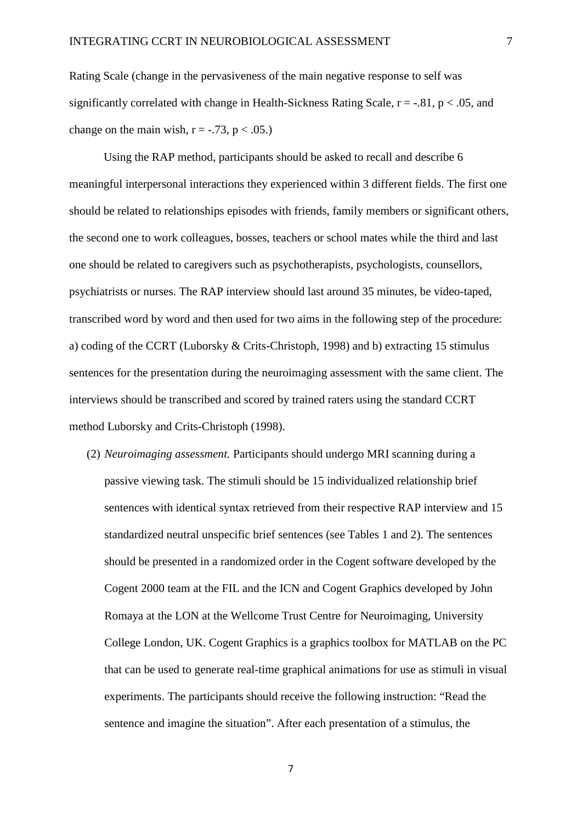Rating Scale (change in the pervasiveness of the main negative response to self was significantly correlated with change in Health-Sickness Rating Scale,  $r = -0.81$ ,  $p < 0.05$ , and change on the main wish,  $r = -0.73$ ,  $p < 0.05$ .

Using the RAP method, participants should be asked to recall and describe 6 meaningful interpersonal interactions they experienced within 3 different fields. The first one should be related to relationships episodes with friends, family members or significant others, the second one to work colleagues, bosses, teachers or school mates while the third and last one should be related to caregivers such as psychotherapists, psychologists, counsellors, psychiatrists or nurses. The RAP interview should last around 35 minutes, be video-taped, transcribed word by word and then used for two aims in the following step of the procedure: a) coding of the CCRT (Luborsky & Crits-Christoph, 1998) and b) extracting 15 stimulus sentences for the presentation during the neuroimaging assessment with the same client. The interviews should be transcribed and scored by trained raters using the standard CCRT method Luborsky and Crits-Christoph (1998).

(2) *Neuroimaging assessment.* Participants should undergo MRI scanning during a passive viewing task. The stimuli should be 15 individualized relationship brief sentences with identical syntax retrieved from their respective RAP interview and 15 standardized neutral unspecific brief sentences (see Tables 1 and 2). The sentences should be presented in a randomized order in the Cogent software developed by the Cogent 2000 team at the FIL and the ICN and Cogent Graphics developed by John Romaya at the LON at the Wellcome Trust Centre for Neuroimaging, University College London, UK. Cogent Graphics is a graphics toolbox for MATLAB on the PC that can be used to generate real-time graphical animations for use as stimuli in visual experiments. The participants should receive the following instruction: "Read the sentence and imagine the situation". After each presentation of a stimulus, the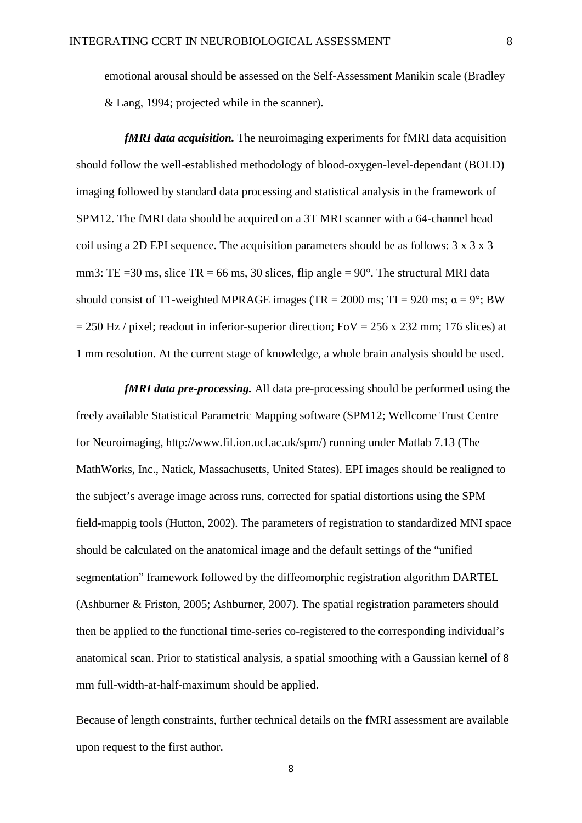emotional arousal should be assessed on the Self-Assessment Manikin scale (Bradley & Lang, 1994; projected while in the scanner).

*fMRI data acquisition.* The neuroimaging experiments for fMRI data acquisition should follow the well-established methodology of blood-oxygen-level-dependant (BOLD) imaging followed by standard data processing and statistical analysis in the framework of SPM12. The fMRI data should be acquired on a 3T MRI scanner with a 64-channel head coil using a 2D EPI sequence. The acquisition parameters should be as follows: 3 x 3 x 3 mm3: TE = 30 ms, slice TR = 66 ms, 30 slices, flip angle =  $90^\circ$ . The structural MRI data should consist of T1-weighted MPRAGE images (TR = 2000 ms; TI = 920 ms;  $\alpha = 9^\circ$ ; BW  $= 250$  Hz / pixel; readout in inferior-superior direction; FoV = 256 x 232 mm; 176 slices) at 1 mm resolution. At the current stage of knowledge, a whole brain analysis should be used.

*fMRI data pre-processing.* All data pre-processing should be performed using the freely available Statistical Parametric Mapping software (SPM12; Wellcome Trust Centre for Neuroimaging, http://www.fil.ion.ucl.ac.uk/spm/) running under Matlab 7.13 (The MathWorks, Inc., Natick, Massachusetts, United States). EPI images should be realigned to the subject's average image across runs, corrected for spatial distortions using the SPM field-mappig tools (Hutton, 2002). The parameters of registration to standardized MNI space should be calculated on the anatomical image and the default settings of the "unified segmentation" framework followed by the diffeomorphic registration algorithm DARTEL (Ashburner & Friston, 2005; Ashburner, 2007). The spatial registration parameters should then be applied to the functional time-series co-registered to the corresponding individual's anatomical scan. Prior to statistical analysis, a spatial smoothing with a Gaussian kernel of 8 mm full-width-at-half-maximum should be applied.

Because of length constraints, further technical details on the fMRI assessment are available upon request to the first author.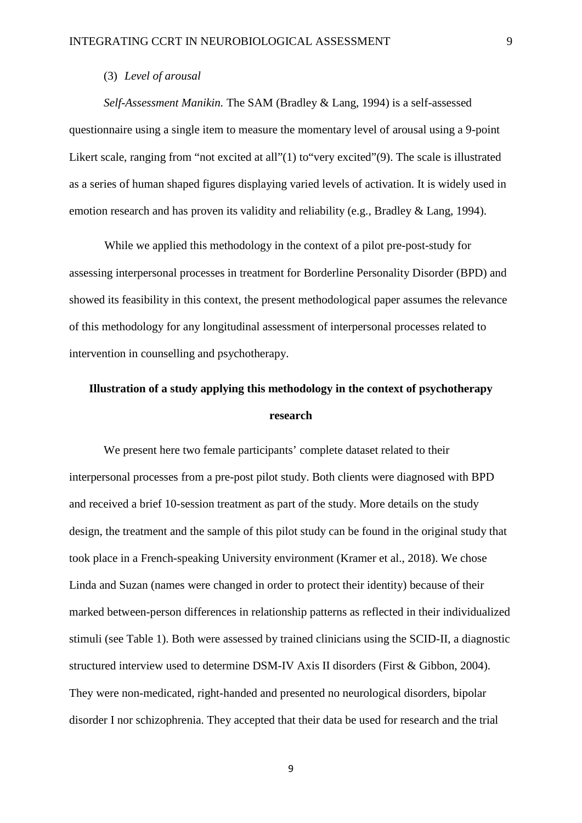### (3) *Level of arousal*

*Self-Assessment Manikin.* The SAM (Bradley & Lang, 1994) is a self-assessed questionnaire using a single item to measure the momentary level of arousal using a 9-point Likert scale, ranging from "not excited at all"(1) to "very excited"(9). The scale is illustrated as a series of human shaped figures displaying varied levels of activation. It is widely used in emotion research and has proven its validity and reliability (e.g., Bradley & Lang, 1994).

While we applied this methodology in the context of a pilot pre-post-study for assessing interpersonal processes in treatment for Borderline Personality Disorder (BPD) and showed its feasibility in this context, the present methodological paper assumes the relevance of this methodology for any longitudinal assessment of interpersonal processes related to intervention in counselling and psychotherapy.

# **Illustration of a study applying this methodology in the context of psychotherapy research**

We present here two female participants' complete dataset related to their interpersonal processes from a pre-post pilot study. Both clients were diagnosed with BPD and received a brief 10-session treatment as part of the study. More details on the study design, the treatment and the sample of this pilot study can be found in the original study that took place in a French-speaking University environment (Kramer et al., 2018). We chose Linda and Suzan (names were changed in order to protect their identity) because of their marked between-person differences in relationship patterns as reflected in their individualized stimuli (see Table 1). Both were assessed by trained clinicians using the SCID-II, a diagnostic structured interview used to determine DSM-IV Axis II disorders (First & Gibbon, 2004). They were non-medicated, right-handed and presented no neurological disorders, bipolar disorder I nor schizophrenia. They accepted that their data be used for research and the trial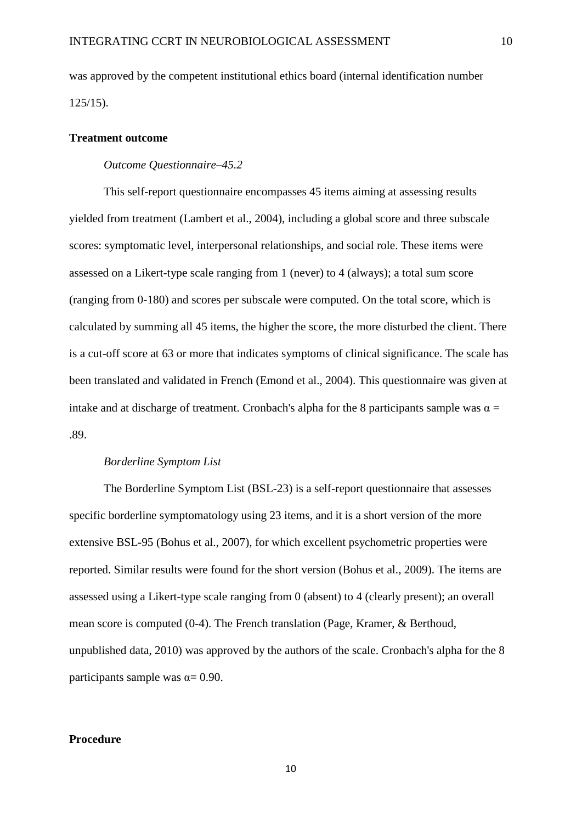was approved by the competent institutional ethics board (internal identification number 125/15).

## **Treatment outcome**

#### *Outcome Questionnaire–45.2*

This self-report questionnaire encompasses 45 items aiming at assessing results yielded from treatment (Lambert et al., 2004), including a global score and three subscale scores: symptomatic level, interpersonal relationships, and social role. These items were assessed on a Likert-type scale ranging from 1 (never) to 4 (always); a total sum score (ranging from 0-180) and scores per subscale were computed. On the total score, which is calculated by summing all 45 items, the higher the score, the more disturbed the client. There is a cut-off score at 63 or more that indicates symptoms of clinical significance. The scale has been translated and validated in French (Emond et al., 2004). This questionnaire was given at intake and at discharge of treatment. Cronbach's alpha for the 8 participants sample was  $\alpha$  = .89.

#### *Borderline Symptom List*

The Borderline Symptom List (BSL-23) is a self-report questionnaire that assesses specific borderline symptomatology using 23 items, and it is a short version of the more extensive BSL-95 (Bohus et al., 2007), for which excellent psychometric properties were reported. Similar results were found for the short version (Bohus et al., 2009). The items are assessed using a Likert-type scale ranging from 0 (absent) to 4 (clearly present); an overall mean score is computed (0-4). The French translation (Page, Kramer, & Berthoud, unpublished data, 2010) was approved by the authors of the scale. Cronbach's alpha for the 8 participants sample was  $\alpha$  = 0.90.

# **Procedure**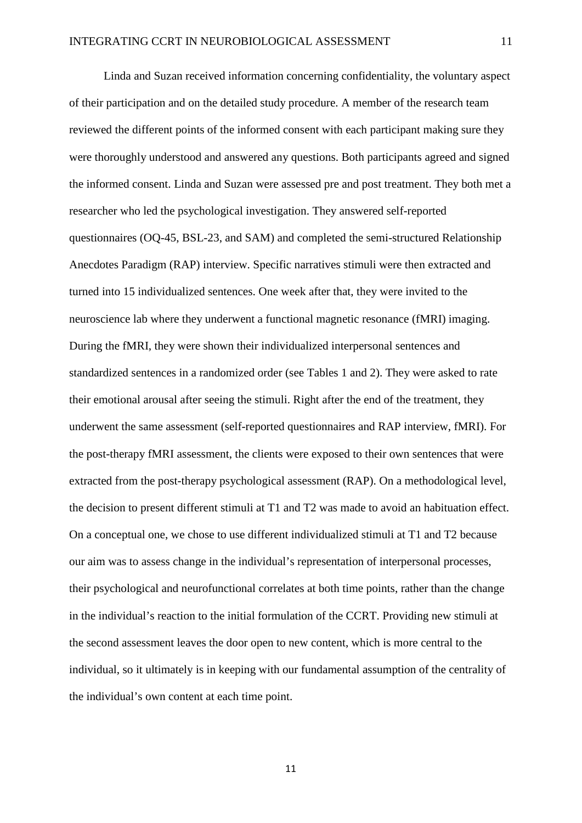Linda and Suzan received information concerning confidentiality, the voluntary aspect of their participation and on the detailed study procedure. A member of the research team reviewed the different points of the informed consent with each participant making sure they were thoroughly understood and answered any questions. Both participants agreed and signed the informed consent. Linda and Suzan were assessed pre and post treatment. They both met a researcher who led the psychological investigation. They answered self-reported questionnaires (OQ-45, BSL-23, and SAM) and completed the semi-structured Relationship Anecdotes Paradigm (RAP) interview. Specific narratives stimuli were then extracted and turned into 15 individualized sentences. One week after that, they were invited to the neuroscience lab where they underwent a functional magnetic resonance (fMRI) imaging. During the fMRI, they were shown their individualized interpersonal sentences and standardized sentences in a randomized order (see Tables 1 and 2). They were asked to rate their emotional arousal after seeing the stimuli. Right after the end of the treatment, they underwent the same assessment (self-reported questionnaires and RAP interview, fMRI). For the post-therapy fMRI assessment, the clients were exposed to their own sentences that were extracted from the post-therapy psychological assessment (RAP). On a methodological level, the decision to present different stimuli at T1 and T2 was made to avoid an habituation effect. On a conceptual one, we chose to use different individualized stimuli at T1 and T2 because our aim was to assess change in the individual's representation of interpersonal processes, their psychological and neurofunctional correlates at both time points, rather than the change in the individual's reaction to the initial formulation of the CCRT. Providing new stimuli at the second assessment leaves the door open to new content, which is more central to the individual, so it ultimately is in keeping with our fundamental assumption of the centrality of the individual's own content at each time point.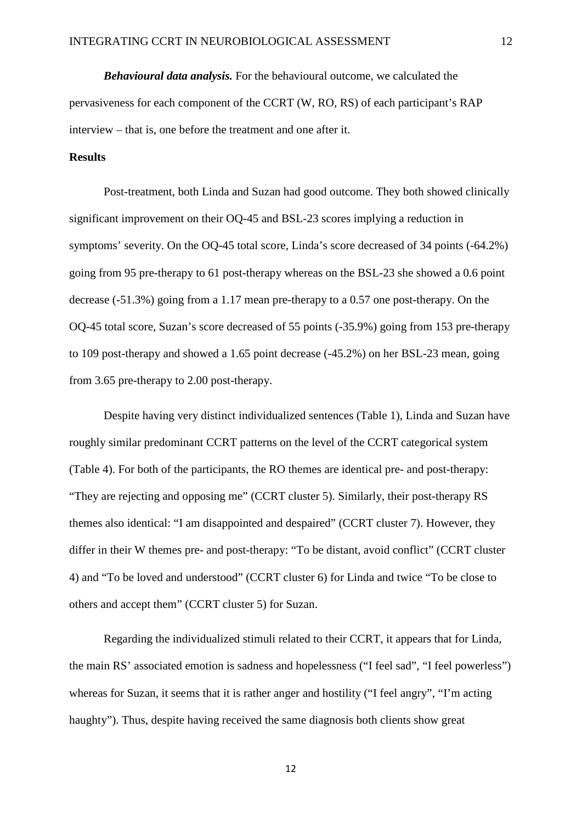*Behavioural data analysis.* For the behavioural outcome, we calculated the pervasiveness for each component of the CCRT (W, RO, RS) of each participant's RAP interview – that is, one before the treatment and one after it.

# **Results**

Post-treatment, both Linda and Suzan had good outcome. They both showed clinically significant improvement on their OQ-45 and BSL-23 scores implying a reduction in symptoms' severity. On the OQ-45 total score, Linda's score decreased of 34 points (-64.2%) going from 95 pre-therapy to 61 post-therapy whereas on the BSL-23 she showed a 0.6 point decrease (-51.3%) going from a 1.17 mean pre-therapy to a 0.57 one post-therapy. On the OQ-45 total score, Suzan's score decreased of 55 points (-35.9%) going from 153 pre-therapy to 109 post-therapy and showed a 1.65 point decrease (-45.2%) on her BSL-23 mean, going from 3.65 pre-therapy to 2.00 post-therapy.

Despite having very distinct individualized sentences (Table 1), Linda and Suzan have roughly similar predominant CCRT patterns on the level of the CCRT categorical system (Table 4). For both of the participants, the RO themes are identical pre- and post-therapy: "They are rejecting and opposing me" (CCRT cluster 5). Similarly, their post-therapy RS themes also identical: "I am disappointed and despaired" (CCRT cluster 7). However, they differ in their W themes pre- and post-therapy: "To be distant, avoid conflict" (CCRT cluster 4) and "To be loved and understood" (CCRT cluster 6) for Linda and twice "To be close to others and accept them" (CCRT cluster 5) for Suzan.

Regarding the individualized stimuli related to their CCRT, it appears that for Linda, the main RS' associated emotion is sadness and hopelessness ("I feel sad", "I feel powerless") whereas for Suzan, it seems that it is rather anger and hostility ("I feel angry", "I'm acting haughty"). Thus, despite having received the same diagnosis both clients show great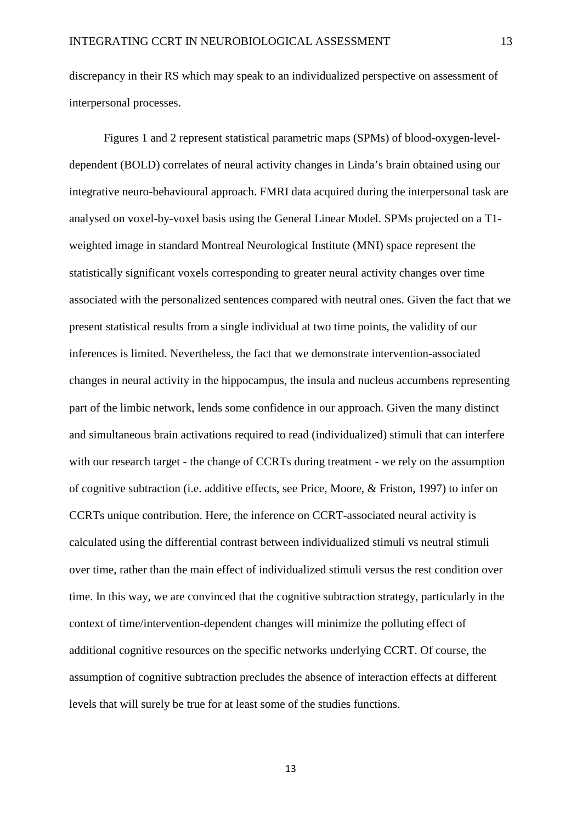discrepancy in their RS which may speak to an individualized perspective on assessment of interpersonal processes.

Figures 1 and 2 represent statistical parametric maps (SPMs) of blood-oxygen-leveldependent (BOLD) correlates of neural activity changes in Linda's brain obtained using our integrative neuro-behavioural approach. FMRI data acquired during the interpersonal task are analysed on voxel-by-voxel basis using the General Linear Model. SPMs projected on a T1 weighted image in standard Montreal Neurological Institute (MNI) space represent the statistically significant voxels corresponding to greater neural activity changes over time associated with the personalized sentences compared with neutral ones. Given the fact that we present statistical results from a single individual at two time points, the validity of our inferences is limited. Nevertheless, the fact that we demonstrate intervention-associated changes in neural activity in the hippocampus, the insula and nucleus accumbens representing part of the limbic network, lends some confidence in our approach. Given the many distinct and simultaneous brain activations required to read (individualized) stimuli that can interfere with our research target - the change of CCRTs during treatment - we rely on the assumption of cognitive subtraction (i.e. additive effects, see Price, Moore, & Friston, 1997) to infer on CCRTs unique contribution. Here, the inference on CCRT-associated neural activity is calculated using the differential contrast between individualized stimuli vs neutral stimuli over time, rather than the main effect of individualized stimuli versus the rest condition over time. In this way, we are convinced that the cognitive subtraction strategy, particularly in the context of time/intervention-dependent changes will minimize the polluting effect of additional cognitive resources on the specific networks underlying CCRT. Of course, the assumption of cognitive subtraction precludes the absence of interaction effects at different levels that will surely be true for at least some of the studies functions.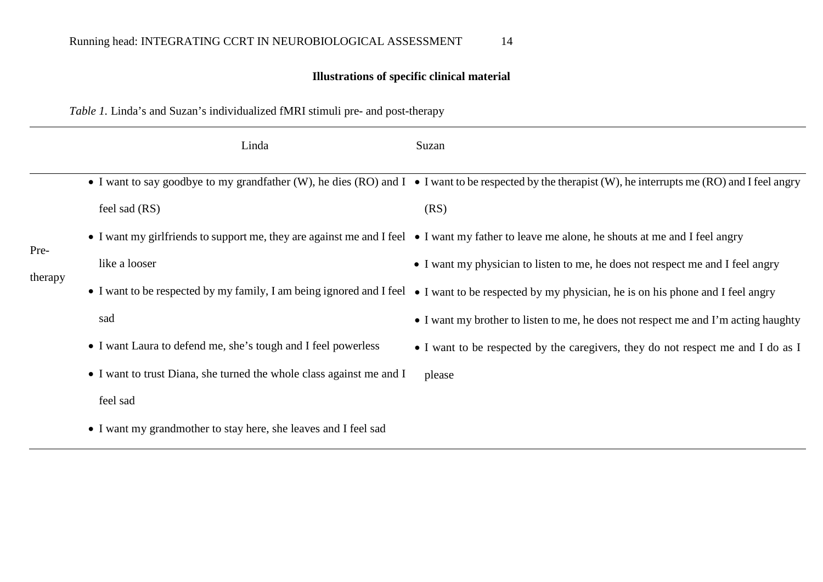# **Illustrations of specific clinical material**

# *Table 1.* Linda's and Suzan's individualized fMRI stimuli pre- and post-therapy

|                 | Linda                                                                | Suzan                                                                                                                                                           |
|-----------------|----------------------------------------------------------------------|-----------------------------------------------------------------------------------------------------------------------------------------------------------------|
| Pre-<br>therapy |                                                                      | • I want to say goodbye to my grandfather (W), he dies (RO) and $I \bullet I$ want to be respected by the therapist (W), he interrupts me (RO) and I feel angry |
|                 | feel sad (RS)                                                        | (RS)                                                                                                                                                            |
|                 |                                                                      | • I want my girlfriends to support me, they are against me and I feel • I want my father to leave me alone, he shouts at me and I feel angry                    |
|                 | like a looser                                                        | • I want my physician to listen to me, he does not respect me and I feel angry                                                                                  |
|                 |                                                                      | • I want to be respected by my family, I am being ignored and I feel • I want to be respected by my physician, he is on his phone and I feel angry              |
|                 | sad                                                                  | • I want my brother to listen to me, he does not respect me and I'm acting haughty                                                                              |
|                 | • I want Laura to defend me, she's tough and I feel powerless        | • I want to be respected by the caregivers, they do not respect me and I do as I                                                                                |
|                 | • I want to trust Diana, she turned the whole class against me and I | please                                                                                                                                                          |
|                 | feel sad                                                             |                                                                                                                                                                 |
|                 | • I want my grandmother to stay here, she leaves and I feel sad      |                                                                                                                                                                 |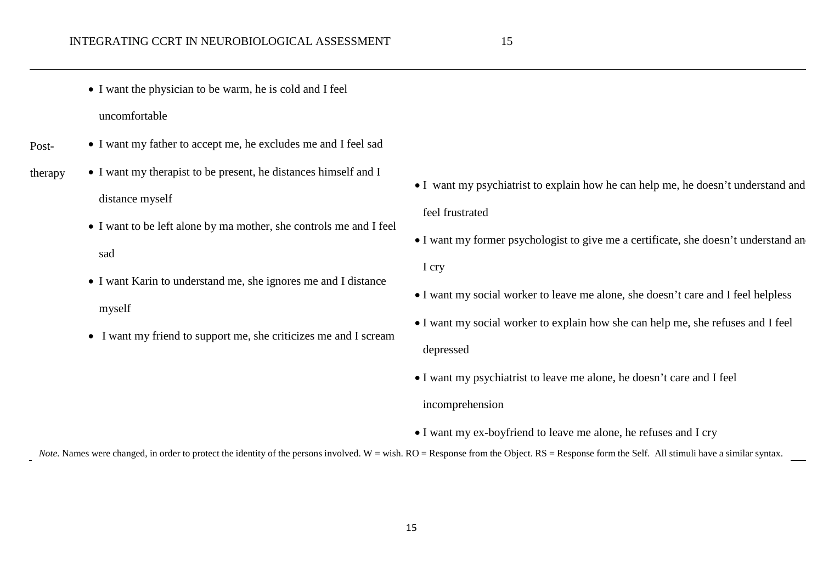- I want the physician to be warm, he is cold and I feel uncomfortable
- Post-• I want my father to accept me, he excludes me and I feel sad
- therapy • I want my therapist to be present, he distances himself and I distance myself
	- I want to be left alone by ma mother, she controls me and I feel sad
	- I want Karin to understand me, she ignores me and I distance myself
	- I want my friend to support me, she criticizes me and I scream
- I want my psychiatrist to explain how he can help me, he doesn't understand and feel frustrated
- I want my former psychologist to give me a certificate, she doesn't understand an I cry
- I want my social worker to leave me alone, she doesn't care and I feel helpless
- I want my social worker to explain how she can help me, she refuses and I feel depressed
- I want my psychiatrist to leave me alone, he doesn't care and I feel incomprehension
- I want my ex-boyfriend to leave me alone, he refuses and I cry

*Note*. Names were changed, in order to protect the identity of the persons involved. W = wish. RO = Response from the Object. RS = Response form the Self. All stimuli have a similar syntax.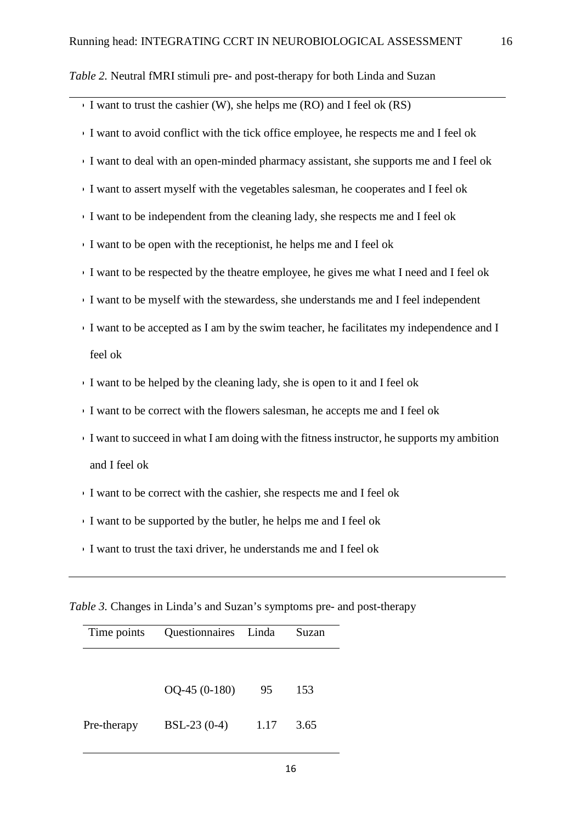*Table 2.* Neutral fMRI stimuli pre- and post-therapy for both Linda and Suzan

| I want to trust the cashier (W), she helps me (RO) and I feel ok $(RS)$                   |
|-------------------------------------------------------------------------------------------|
| I want to avoid conflict with the tick office employee, he respects me and I feel ok      |
| I want to deal with an open-minded pharmacy assistant, she supports me and I feel ok      |
| I want to assert myself with the vegetables salesman, he cooperates and I feel ok         |
| I want to be independent from the cleaning lady, she respects me and I feel ok            |
| I want to be open with the receptionist, he helps me and I feel ok                        |
| I want to be respected by the theatre employee, he gives me what I need and I feel ok     |
| I want to be myself with the stewardess, she understands me and I feel independent        |
| I want to be accepted as I am by the swim teacher, he facilitates my independence and I   |
| feel ok                                                                                   |
| I want to be helped by the cleaning lady, she is open to it and I feel ok                 |
| I want to be correct with the flowers salesman, he accepts me and I feel ok               |
| I want to succeed in what I am doing with the fitness instructor, he supports my ambition |
| and I feel ok                                                                             |

- I want to be correct with the cashier, she respects me and I feel ok
- I want to be supported by the butler, he helps me and I feel ok
- I want to trust the taxi driver, he understands me and I feel ok

*Table 3.* Changes in Linda's and Suzan's symptoms pre- and post-therapy

| Time points | Questionnaires Linda |      | Suzan |
|-------------|----------------------|------|-------|
|             |                      |      |       |
|             | $OQ-45(0-180)$       | 95   | 153   |
| Pre-therapy | $BSL-23(0-4)$        | 1.17 | 3.65  |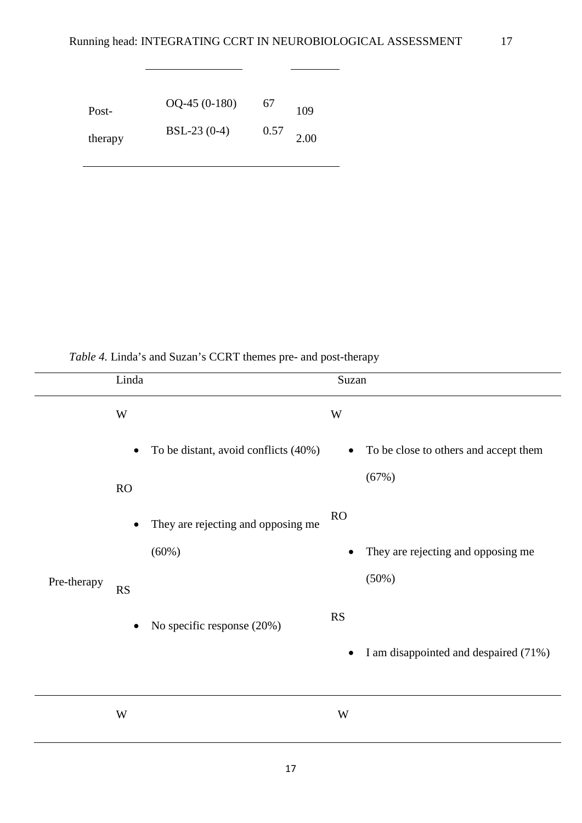$\overline{a}$ 

| Post-   | $OQ-45(0-180)$ | 67   | 109  |
|---------|----------------|------|------|
| therapy | $BSL-23(0-4)$  | 0.57 | 2.00 |

*Table 4.* Linda's and Suzan's CCRT themes pre- and post-therapy

|             | Linda                                        |                                      | Suzan     |                                                |
|-------------|----------------------------------------------|--------------------------------------|-----------|------------------------------------------------|
|             | $\ensuremath{\text{W}}$                      |                                      | W         |                                                |
|             | $\bullet$                                    | To be distant, avoid conflicts (40%) | $\bullet$ | To be close to others and accept them<br>(67%) |
|             | RO                                           |                                      | RO        |                                                |
|             | $\bullet$<br>(60%)<br><b>RS</b><br>$\bullet$ | They are rejecting and opposing me   |           |                                                |
| Pre-therapy |                                              |                                      |           | They are rejecting and opposing me<br>(50%)    |
|             |                                              | No specific response (20%)           | RS        |                                                |
|             |                                              |                                      | $\bullet$ | I am disappointed and despaired (71%)          |
|             | $\ensuremath{\text{W}}$                      |                                      | W         |                                                |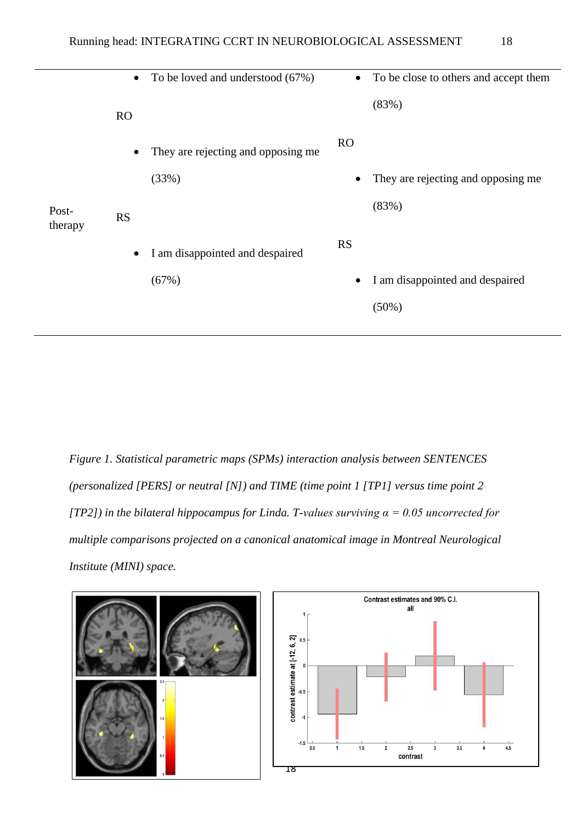|                  | $\bullet$ | To be loved and understood (67%)   | $\bullet$ | To be close to others and accept them |
|------------------|-----------|------------------------------------|-----------|---------------------------------------|
|                  | RO        |                                    |           | (83%)                                 |
|                  | $\bullet$ | They are rejecting and opposing me | <b>RO</b> |                                       |
|                  |           | (33%)                              |           | They are rejecting and opposing me    |
| Post-<br>therapy | <b>RS</b> |                                    |           | (83%)                                 |
|                  | $\bullet$ | I am disappointed and despaired    | <b>RS</b> |                                       |
|                  |           | (67%)                              |           | I am disappointed and despaired       |
|                  |           |                                    |           | $(50\%)$                              |
|                  |           |                                    |           |                                       |

*Figure 1. Statistical parametric maps (SPMs) interaction analysis between SENTENCES (personalized [PERS] or neutral [N]) and TIME (time point 1 [TP1] versus time point 2 [TP2]) in the bilateral hippocampus for Linda. T-values surviving α = 0.05 uncorrected for multiple comparisons projected on a canonical anatomical image in Montreal Neurological Institute (MINI) space.*



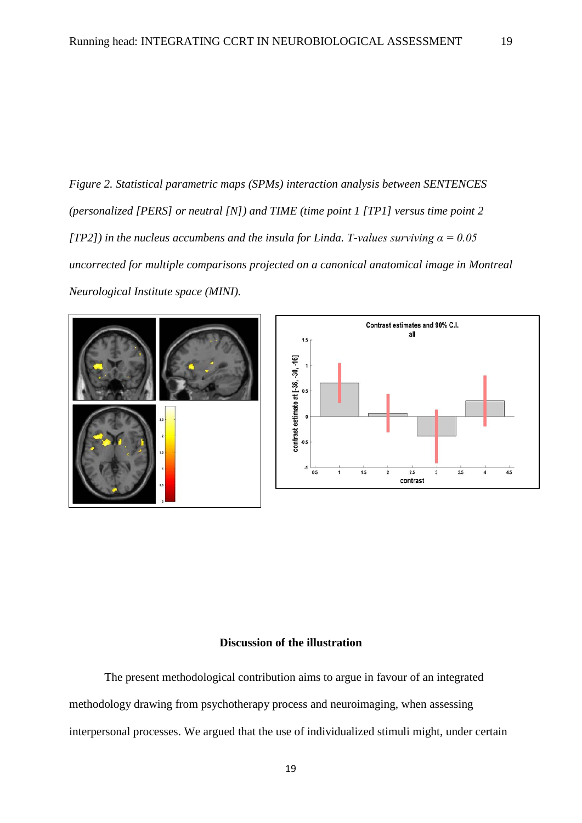*Figure 2. Statistical parametric maps (SPMs) interaction analysis between SENTENCES (personalized [PERS] or neutral [N]) and TIME (time point 1 [TP1] versus time point 2 [TP2]) in the nucleus accumbens and the insula for Linda. T-values surviving α = 0.05 uncorrected for multiple comparisons projected on a canonical anatomical image in Montreal Neurological Institute space (MINI).*





#### **Discussion of the illustration**

The present methodological contribution aims to argue in favour of an integrated methodology drawing from psychotherapy process and neuroimaging, when assessing interpersonal processes. We argued that the use of individualized stimuli might, under certain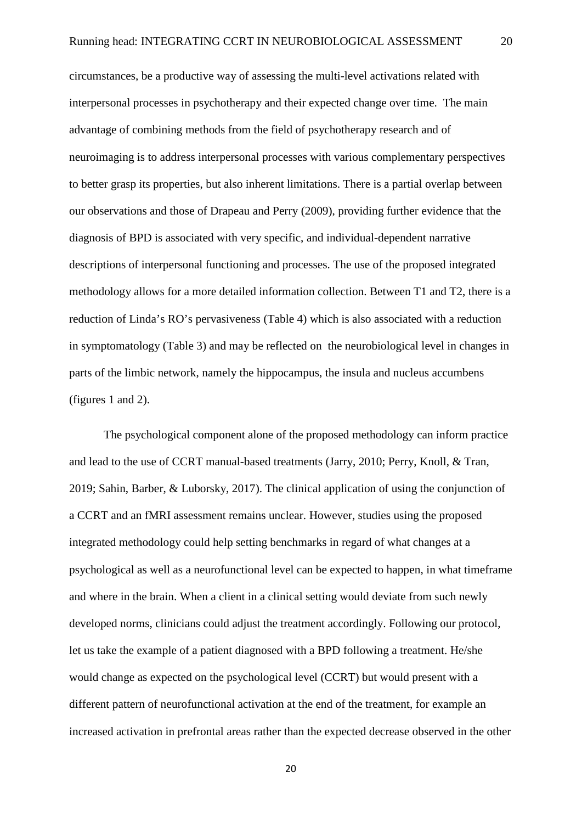circumstances, be a productive way of assessing the multi-level activations related with interpersonal processes in psychotherapy and their expected change over time. The main advantage of combining methods from the field of psychotherapy research and of neuroimaging is to address interpersonal processes with various complementary perspectives to better grasp its properties, but also inherent limitations. There is a partial overlap between our observations and those of Drapeau and Perry (2009), providing further evidence that the diagnosis of BPD is associated with very specific, and individual-dependent narrative descriptions of interpersonal functioning and processes. The use of the proposed integrated methodology allows for a more detailed information collection. Between T1 and T2, there is a reduction of Linda's RO's pervasiveness (Table 4) which is also associated with a reduction in symptomatology (Table 3) and may be reflected on the neurobiological level in changes in parts of the limbic network, namely the hippocampus, the insula and nucleus accumbens (figures 1 and 2).

The psychological component alone of the proposed methodology can inform practice and lead to the use of CCRT manual-based treatments (Jarry, 2010; Perry, Knoll, & Tran, 2019; Sahin, Barber, & Luborsky, 2017). The clinical application of using the conjunction of a CCRT and an fMRI assessment remains unclear. However, studies using the proposed integrated methodology could help setting benchmarks in regard of what changes at a psychological as well as a neurofunctional level can be expected to happen, in what timeframe and where in the brain. When a client in a clinical setting would deviate from such newly developed norms, clinicians could adjust the treatment accordingly. Following our protocol, let us take the example of a patient diagnosed with a BPD following a treatment. He/she would change as expected on the psychological level (CCRT) but would present with a different pattern of neurofunctional activation at the end of the treatment, for example an increased activation in prefrontal areas rather than the expected decrease observed in the other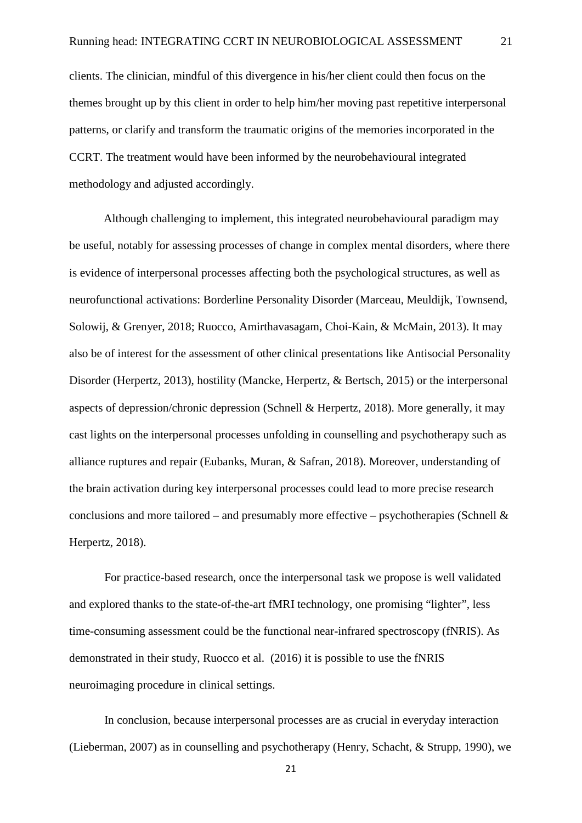clients. The clinician, mindful of this divergence in his/her client could then focus on the themes brought up by this client in order to help him/her moving past repetitive interpersonal patterns, or clarify and transform the traumatic origins of the memories incorporated in the CCRT. The treatment would have been informed by the neurobehavioural integrated methodology and adjusted accordingly.

Although challenging to implement, this integrated neurobehavioural paradigm may be useful, notably for assessing processes of change in complex mental disorders, where there is evidence of interpersonal processes affecting both the psychological structures, as well as neurofunctional activations: Borderline Personality Disorder (Marceau, Meuldijk, Townsend, Solowij, & Grenyer, 2018; Ruocco, Amirthavasagam, Choi-Kain, & McMain, 2013). It may also be of interest for the assessment of other clinical presentations like Antisocial Personality Disorder (Herpertz, 2013), hostility (Mancke, Herpertz, & Bertsch, 2015) or the interpersonal aspects of depression/chronic depression (Schnell & Herpertz, 2018). More generally, it may cast lights on the interpersonal processes unfolding in counselling and psychotherapy such as alliance ruptures and repair (Eubanks, Muran, & Safran, 2018). Moreover, understanding of the brain activation during key interpersonal processes could lead to more precise research conclusions and more tailored – and presumably more effective – psychotherapies (Schnell  $\&$ Herpertz, 2018).

For practice-based research, once the interpersonal task we propose is well validated and explored thanks to the state-of-the-art fMRI technology, one promising "lighter", less time-consuming assessment could be the functional near-infrared spectroscopy (fNRIS). As demonstrated in their study, Ruocco et al. (2016) it is possible to use the fNRIS neuroimaging procedure in clinical settings.

In conclusion, because interpersonal processes are as crucial in everyday interaction (Lieberman, 2007) as in counselling and psychotherapy (Henry, Schacht, & Strupp, 1990), we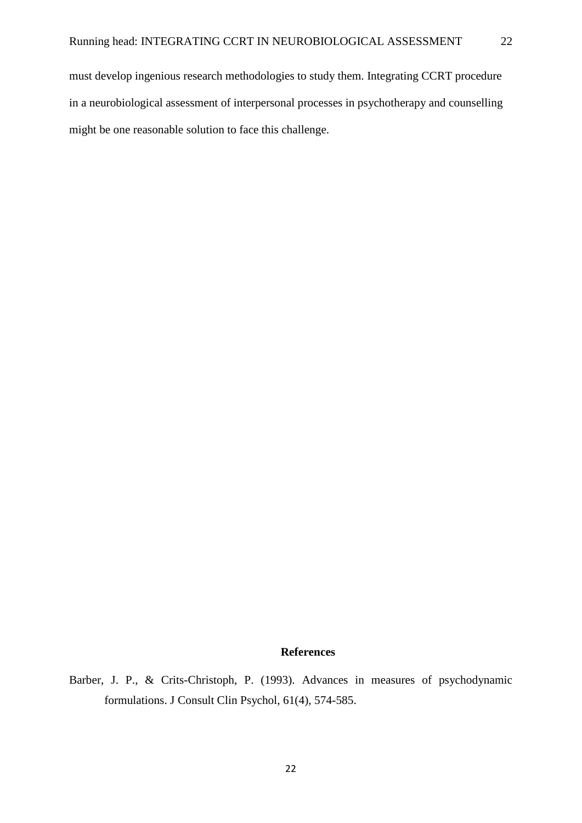must develop ingenious research methodologies to study them. Integrating CCRT procedure in a neurobiological assessment of interpersonal processes in psychotherapy and counselling might be one reasonable solution to face this challenge.

# **References**

Barber, J. P., & Crits-Christoph, P. (1993). Advances in measures of psychodynamic formulations. J Consult Clin Psychol, 61(4), 574-585.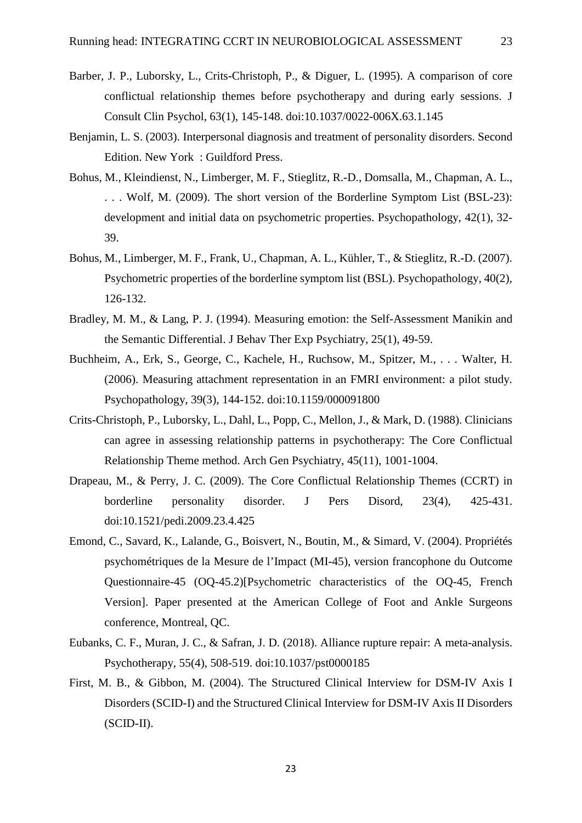- Barber, J. P., Luborsky, L., Crits-Christoph, P., & Diguer, L. (1995). A comparison of core conflictual relationship themes before psychotherapy and during early sessions. J Consult Clin Psychol, 63(1), 145-148. doi:10.1037/0022-006X.63.1.145
- Benjamin, L. S. (2003). Interpersonal diagnosis and treatment of personality disorders. Second Edition. New York : Guildford Press.
- Bohus, M., Kleindienst, N., Limberger, M. F., Stieglitz, R.-D., Domsalla, M., Chapman, A. L., . . . Wolf, M. (2009). The short version of the Borderline Symptom List (BSL-23): development and initial data on psychometric properties. Psychopathology, 42(1), 32- 39.
- Bohus, M., Limberger, M. F., Frank, U., Chapman, A. L., Kühler, T., & Stieglitz, R.-D. (2007). Psychometric properties of the borderline symptom list (BSL). Psychopathology, 40(2), 126-132.
- Bradley, M. M., & Lang, P. J. (1994). Measuring emotion: the Self-Assessment Manikin and the Semantic Differential. J Behav Ther Exp Psychiatry, 25(1), 49-59.
- Buchheim, A., Erk, S., George, C., Kachele, H., Ruchsow, M., Spitzer, M., . . . Walter, H. (2006). Measuring attachment representation in an FMRI environment: a pilot study. Psychopathology, 39(3), 144-152. doi:10.1159/000091800
- Crits-Christoph, P., Luborsky, L., Dahl, L., Popp, C., Mellon, J., & Mark, D. (1988). Clinicians can agree in assessing relationship patterns in psychotherapy: The Core Conflictual Relationship Theme method. Arch Gen Psychiatry, 45(11), 1001-1004.
- Drapeau, M., & Perry, J. C. (2009). The Core Conflictual Relationship Themes (CCRT) in borderline personality disorder. J Pers Disord, 23(4), 425-431. doi:10.1521/pedi.2009.23.4.425
- Emond, C., Savard, K., Lalande, G., Boisvert, N., Boutin, M., & Simard, V. (2004). Propriétés psychométriques de la Mesure de l'Impact (MI-45), version francophone du Outcome Questionnaire-45 (OQ-45.2)[Psychometric characteristics of the OQ-45, French Version]. Paper presented at the American College of Foot and Ankle Surgeons conference, Montreal, QC.
- Eubanks, C. F., Muran, J. C., & Safran, J. D. (2018). Alliance rupture repair: A meta-analysis. Psychotherapy, 55(4), 508-519. doi:10.1037/pst0000185
- First, M. B., & Gibbon, M. (2004). The Structured Clinical Interview for DSM-IV Axis I Disorders (SCID-I) and the Structured Clinical Interview for DSM-IV Axis II Disorders (SCID-II).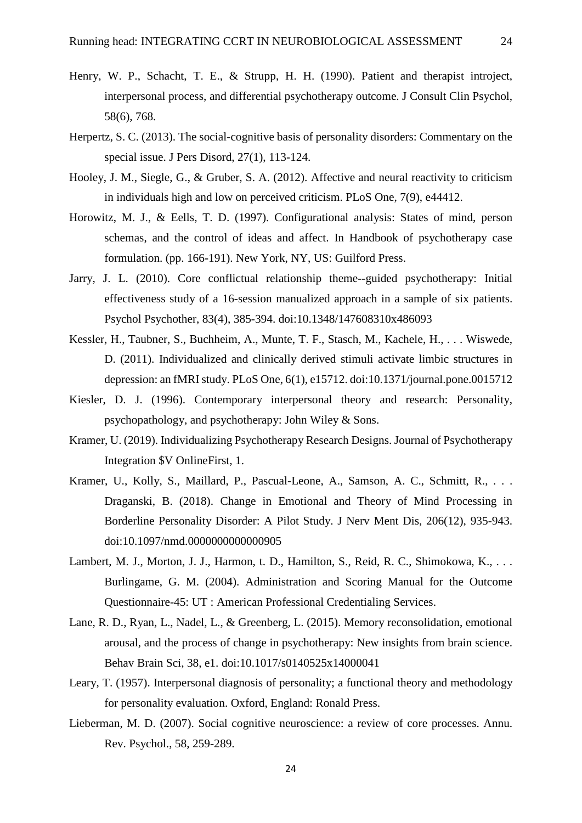- Henry, W. P., Schacht, T. E., & Strupp, H. H. (1990). Patient and therapist introject, interpersonal process, and differential psychotherapy outcome. J Consult Clin Psychol, 58(6), 768.
- Herpertz, S. C. (2013). The social-cognitive basis of personality disorders: Commentary on the special issue. J Pers Disord, 27(1), 113-124.
- Hooley, J. M., Siegle, G., & Gruber, S. A. (2012). Affective and neural reactivity to criticism in individuals high and low on perceived criticism. PLoS One, 7(9), e44412.
- Horowitz, M. J., & Eells, T. D. (1997). Configurational analysis: States of mind, person schemas, and the control of ideas and affect. In Handbook of psychotherapy case formulation. (pp. 166-191). New York, NY, US: Guilford Press.
- Jarry, J. L. (2010). Core conflictual relationship theme--guided psychotherapy: Initial effectiveness study of a 16-session manualized approach in a sample of six patients. Psychol Psychother, 83(4), 385-394. doi:10.1348/147608310x486093
- Kessler, H., Taubner, S., Buchheim, A., Munte, T. F., Stasch, M., Kachele, H., . . . Wiswede, D. (2011). Individualized and clinically derived stimuli activate limbic structures in depression: an fMRI study. PLoS One, 6(1), e15712. doi:10.1371/journal.pone.0015712
- Kiesler, D. J. (1996). Contemporary interpersonal theory and research: Personality, psychopathology, and psychotherapy: John Wiley & Sons.
- Kramer, U. (2019). Individualizing Psychotherapy Research Designs. Journal of Psychotherapy Integration \$V OnlineFirst, 1.
- Kramer, U., Kolly, S., Maillard, P., Pascual-Leone, A., Samson, A. C., Schmitt, R., ... Draganski, B. (2018). Change in Emotional and Theory of Mind Processing in Borderline Personality Disorder: A Pilot Study. J Nerv Ment Dis, 206(12), 935-943. doi:10.1097/nmd.0000000000000905
- Lambert, M. J., Morton, J. J., Harmon, t. D., Hamilton, S., Reid, R. C., Shimokowa, K., ... Burlingame, G. M. (2004). Administration and Scoring Manual for the Outcome Questionnaire-45: UT : American Professional Credentialing Services.
- Lane, R. D., Ryan, L., Nadel, L., & Greenberg, L. (2015). Memory reconsolidation, emotional arousal, and the process of change in psychotherapy: New insights from brain science. Behav Brain Sci, 38, e1. doi:10.1017/s0140525x14000041
- Leary, T. (1957). Interpersonal diagnosis of personality; a functional theory and methodology for personality evaluation. Oxford, England: Ronald Press.
- Lieberman, M. D. (2007). Social cognitive neuroscience: a review of core processes. Annu. Rev. Psychol., 58, 259-289.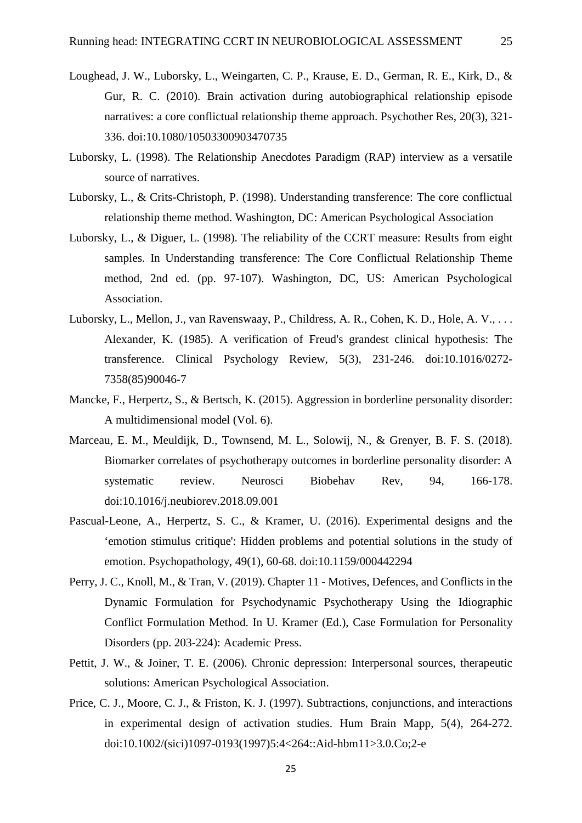- Loughead, J. W., Luborsky, L., Weingarten, C. P., Krause, E. D., German, R. E., Kirk, D., & Gur, R. C. (2010). Brain activation during autobiographical relationship episode narratives: a core conflictual relationship theme approach. Psychother Res, 20(3), 321- 336. doi:10.1080/10503300903470735
- Luborsky, L. (1998). The Relationship Anecdotes Paradigm (RAP) interview as a versatile source of narratives.
- Luborsky, L., & Crits-Christoph, P. (1998). Understanding transference: The core conflictual relationship theme method. Washington, DC: American Psychological Association
- Luborsky, L., & Diguer, L. (1998). The reliability of the CCRT measure: Results from eight samples. In Understanding transference: The Core Conflictual Relationship Theme method, 2nd ed. (pp. 97-107). Washington, DC, US: American Psychological Association.
- Luborsky, L., Mellon, J., van Ravenswaay, P., Childress, A. R., Cohen, K. D., Hole, A. V., . . . Alexander, K. (1985). A verification of Freud's grandest clinical hypothesis: The transference. Clinical Psychology Review, 5(3), 231-246. doi:10.1016/0272- 7358(85)90046-7
- Mancke, F., Herpertz, S., & Bertsch, K. (2015). Aggression in borderline personality disorder: A multidimensional model (Vol. 6).
- Marceau, E. M., Meuldijk, D., Townsend, M. L., Solowij, N., & Grenyer, B. F. S. (2018). Biomarker correlates of psychotherapy outcomes in borderline personality disorder: A systematic review. Neurosci Biobehav Rev, 94, 166-178. doi:10.1016/j.neubiorev.2018.09.001
- Pascual-Leone, A., Herpertz, S. C., & Kramer, U. (2016). Experimental designs and the 'emotion stimulus critique': Hidden problems and potential solutions in the study of emotion. Psychopathology, 49(1), 60-68. doi:10.1159/000442294
- Perry, J. C., Knoll, M., & Tran, V. (2019). Chapter 11 Motives, Defences, and Conflicts in the Dynamic Formulation for Psychodynamic Psychotherapy Using the Idiographic Conflict Formulation Method. In U. Kramer (Ed.), Case Formulation for Personality Disorders (pp. 203-224): Academic Press.
- Pettit, J. W., & Joiner, T. E. (2006). Chronic depression: Interpersonal sources, therapeutic solutions: American Psychological Association.
- Price, C. J., Moore, C. J., & Friston, K. J. (1997). Subtractions, conjunctions, and interactions in experimental design of activation studies. Hum Brain Mapp, 5(4), 264-272. doi:10.1002/(sici)1097-0193(1997)5:4<264::Aid-hbm11>3.0.Co;2-e